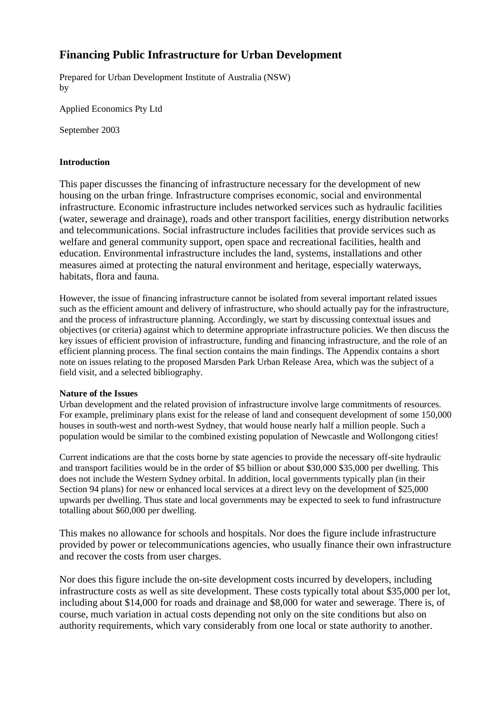# **Financing Public Infrastructure for Urban Development**

Prepared for Urban Development Institute of Australia (NSW) by

Applied Economics Pty Ltd

September 2003

## **Introduction**

This paper discusses the financing of infrastructure necessary for the development of new housing on the urban fringe. Infrastructure comprises economic, social and environmental infrastructure. Economic infrastructure includes networked services such as hydraulic facilities (water, sewerage and drainage), roads and other transport facilities, energy distribution networks and telecommunications. Social infrastructure includes facilities that provide services such as welfare and general community support, open space and recreational facilities, health and education. Environmental infrastructure includes the land, systems, installations and other measures aimed at protecting the natural environment and heritage, especially waterways, habitats, flora and fauna.

However, the issue of financing infrastructure cannot be isolated from several important related issues such as the efficient amount and delivery of infrastructure, who should actually pay for the infrastructure. and the process of infrastructure planning. Accordingly, we start by discussing contextual issues and objectives (or criteria) against which to determine appropriate infrastructure policies. We then discuss the key issues of efficient provision of infrastructure, funding and financing infrastructure, and the role of an efficient planning process. The final section contains the main findings. The Appendix contains a short note on issues relating to the proposed Marsden Park Urban Release Area, which was the subject of a field visit, and a selected bibliography.

# **Nature of the Issues**

Urban development and the related provision of infrastructure involve large commitments of resources. For example, preliminary plans exist for the release of land and consequent development of some 150,000 houses in south-west and north-west Sydney, that would house nearly half a million people. Such a population would be similar to the combined existing population of Newcastle and Wollongong cities!

Current indications are that the costs borne by state agencies to provide the necessary off-site hydraulic and transport facilities would be in the order of \$5 billion or about \$30,000 \$35,000 per dwelling. This does not include the Western Sydney orbital. In addition, local governments typically plan (in their Section 94 plans) for new or enhanced local services at a direct levy on the development of \$25,000 upwards per dwelling. Thus state and local governments may be expected to seek to fund infrastructure totalling about \$60,000 per dwelling.

This makes no allowance for schools and hospitals. Nor does the figure include infrastructure provided by power or telecommunications agencies, who usually finance their own infrastructure and recover the costs from user charges.

Nor does this figure include the on-site development costs incurred by developers, including infrastructure costs as well as site development. These costs typically total about \$35,000 per lot, including about \$14,000 for roads and drainage and \$8,000 for water and sewerage. There is, of course, much variation in actual costs depending not only on the site conditions but also on authority requirements, which vary considerably from one local or state authority to another.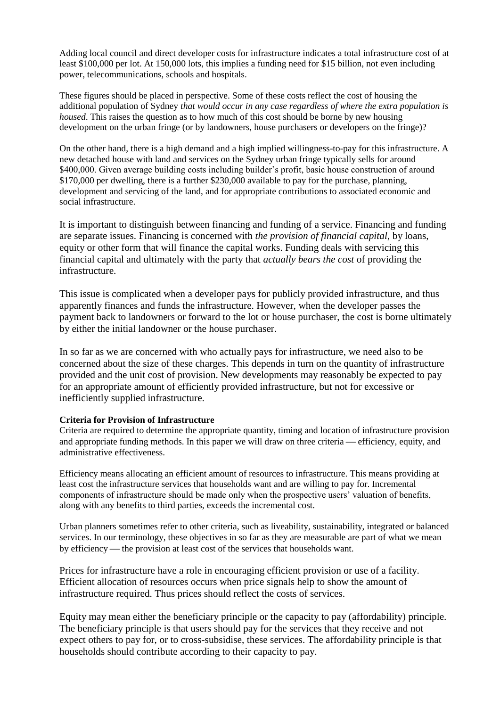Adding local council and direct developer costs for infrastructure indicates a total infrastructure cost of at least \$100,000 per lot. At 150,000 lots, this implies a funding need for \$15 billion, not even including power, telecommunications, schools and hospitals.

These figures should be placed in perspective. Some of these costs reflect the cost of housing the additional population of Sydney *that would occur in any case regardless of where the extra population is housed*. This raises the question as to how much of this cost should be borne by new housing development on the urban fringe (or by landowners, house purchasers or developers on the fringe)?

On the other hand, there is a high demand and a high implied willingness-to-pay for this infrastructure. A new detached house with land and services on the Sydney urban fringe typically sells for around \$400,000. Given average building costs including builder's profit, basic house construction of around \$170,000 per dwelling, there is a further \$230,000 available to pay for the purchase, planning, development and servicing of the land, and for appropriate contributions to associated economic and social infrastructure.

It is important to distinguish between financing and funding of a service. Financing and funding are separate issues. Financing is concerned with *the provision of financial capital*, by loans, equity or other form that will finance the capital works. Funding deals with servicing this financial capital and ultimately with the party that *actually bears the cost* of providing the infrastructure.

This issue is complicated when a developer pays for publicly provided infrastructure, and thus apparently finances and funds the infrastructure. However, when the developer passes the payment back to landowners or forward to the lot or house purchaser, the cost is borne ultimately by either the initial landowner or the house purchaser.

In so far as we are concerned with who actually pays for infrastructure, we need also to be concerned about the size of these charges. This depends in turn on the quantity of infrastructure provided and the unit cost of provision. New developments may reasonably be expected to pay for an appropriate amount of efficiently provided infrastructure, but not for excessive or inefficiently supplied infrastructure.

# **Criteria for Provision of Infrastructure**

Criteria are required to determine the appropriate quantity, timing and location of infrastructure provision and appropriate funding methods. In this paper we will draw on three criteria — efficiency, equity, and administrative effectiveness.

Efficiency means allocating an efficient amount of resources to infrastructure. This means providing at least cost the infrastructure services that households want and are willing to pay for. Incremental components of infrastructure should be made only when the prospective users' valuation of benefits, along with any benefits to third parties, exceeds the incremental cost.

Urban planners sometimes refer to other criteria, such as liveability, sustainability, integrated or balanced services. In our terminology, these objectives in so far as they are measurable are part of what we mean by efficiency — the provision at least cost of the services that households want.

Prices for infrastructure have a role in encouraging efficient provision or use of a facility. Efficient allocation of resources occurs when price signals help to show the amount of infrastructure required. Thus prices should reflect the costs of services.

Equity may mean either the beneficiary principle or the capacity to pay (affordability) principle. The beneficiary principle is that users should pay for the services that they receive and not expect others to pay for, or to cross-subsidise, these services. The affordability principle is that households should contribute according to their capacity to pay.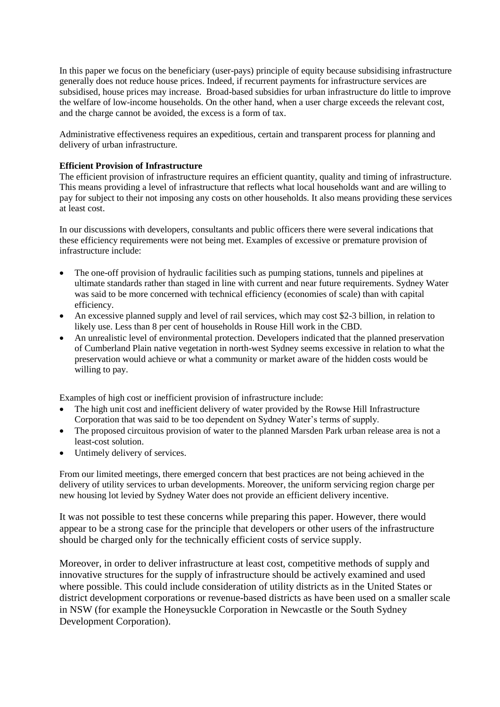In this paper we focus on the beneficiary (user-pays) principle of equity because subsidising infrastructure generally does not reduce house prices. Indeed, if recurrent payments for infrastructure services are subsidised, house prices may increase. Broad-based subsidies for urban infrastructure do little to improve the welfare of low-income households. On the other hand, when a user charge exceeds the relevant cost, and the charge cannot be avoided, the excess is a form of tax.

Administrative effectiveness requires an expeditious, certain and transparent process for planning and delivery of urban infrastructure.

#### **Efficient Provision of Infrastructure**

The efficient provision of infrastructure requires an efficient quantity, quality and timing of infrastructure. This means providing a level of infrastructure that reflects what local households want and are willing to pay for subject to their not imposing any costs on other households. It also means providing these services at least cost.

In our discussions with developers, consultants and public officers there were several indications that these efficiency requirements were not being met. Examples of excessive or premature provision of infrastructure include:

- The one-off provision of hydraulic facilities such as pumping stations, tunnels and pipelines at ultimate standards rather than staged in line with current and near future requirements. Sydney Water was said to be more concerned with technical efficiency (economies of scale) than with capital efficiency.
- An excessive planned supply and level of rail services, which may cost \$2-3 billion, in relation to likely use. Less than 8 per cent of households in Rouse Hill work in the CBD.
- An unrealistic level of environmental protection. Developers indicated that the planned preservation of Cumberland Plain native vegetation in north-west Sydney seems excessive in relation to what the preservation would achieve or what a community or market aware of the hidden costs would be willing to pay.

Examples of high cost or inefficient provision of infrastructure include:

- The high unit cost and inefficient delivery of water provided by the Rowse Hill Infrastructure Corporation that was said to be too dependent on Sydney Water's terms of supply.
- The proposed circuitous provision of water to the planned Marsden Park urban release area is not a least-cost solution.
- Untimely delivery of services.

From our limited meetings, there emerged concern that best practices are not being achieved in the delivery of utility services to urban developments. Moreover, the uniform servicing region charge per new housing lot levied by Sydney Water does not provide an efficient delivery incentive.

It was not possible to test these concerns while preparing this paper. However, there would appear to be a strong case for the principle that developers or other users of the infrastructure should be charged only for the technically efficient costs of service supply.

Moreover, in order to deliver infrastructure at least cost, competitive methods of supply and innovative structures for the supply of infrastructure should be actively examined and used where possible. This could include consideration of utility districts as in the United States or district development corporations or revenue-based districts as have been used on a smaller scale in NSW (for example the Honeysuckle Corporation in Newcastle or the South Sydney Development Corporation).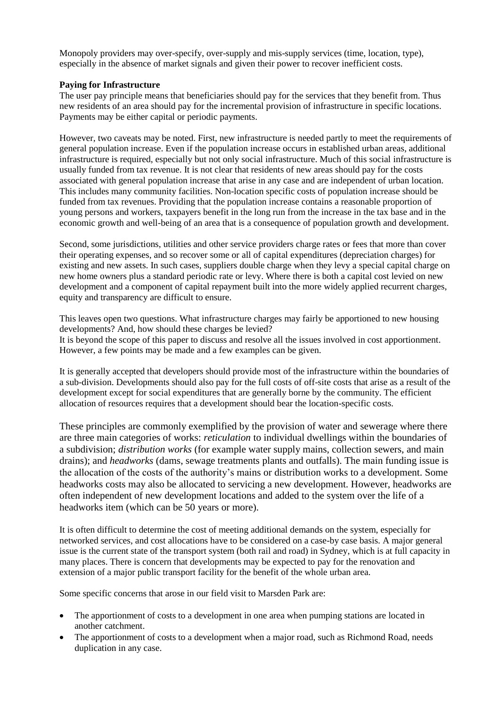Monopoly providers may over-specify, over-supply and mis-supply services (time, location, type), especially in the absence of market signals and given their power to recover inefficient costs.

## **Paying for Infrastructure**

The user pay principle means that beneficiaries should pay for the services that they benefit from. Thus new residents of an area should pay for the incremental provision of infrastructure in specific locations. Payments may be either capital or periodic payments.

However, two caveats may be noted. First, new infrastructure is needed partly to meet the requirements of general population increase. Even if the population increase occurs in established urban areas, additional infrastructure is required, especially but not only social infrastructure. Much of this social infrastructure is usually funded from tax revenue. It is not clear that residents of new areas should pay for the costs associated with general population increase that arise in any case and are independent of urban location. This includes many community facilities. Non-location specific costs of population increase should be funded from tax revenues. Providing that the population increase contains a reasonable proportion of young persons and workers, taxpayers benefit in the long run from the increase in the tax base and in the economic growth and well-being of an area that is a consequence of population growth and development.

Second, some jurisdictions, utilities and other service providers charge rates or fees that more than cover their operating expenses, and so recover some or all of capital expenditures (depreciation charges) for existing and new assets. In such cases, suppliers double charge when they levy a special capital charge on new home owners plus a standard periodic rate or levy. Where there is both a capital cost levied on new development and a component of capital repayment built into the more widely applied recurrent charges, equity and transparency are difficult to ensure.

This leaves open two questions. What infrastructure charges may fairly be apportioned to new housing developments? And, how should these charges be levied? It is beyond the scope of this paper to discuss and resolve all the issues involved in cost apportionment. However, a few points may be made and a few examples can be given.

It is generally accepted that developers should provide most of the infrastructure within the boundaries of a sub-division. Developments should also pay for the full costs of off-site costs that arise as a result of the development except for social expenditures that are generally borne by the community. The efficient allocation of resources requires that a development should bear the location-specific costs.

These principles are commonly exemplified by the provision of water and sewerage where there are three main categories of works: *reticulation* to individual dwellings within the boundaries of a subdivision; *distribution works* (for example water supply mains, collection sewers, and main drains); and *headworks* (dams, sewage treatments plants and outfalls). The main funding issue is the allocation of the costs of the authority's mains or distribution works to a development. Some headworks costs may also be allocated to servicing a new development. However, headworks are often independent of new development locations and added to the system over the life of a headworks item (which can be 50 years or more).

It is often difficult to determine the cost of meeting additional demands on the system, especially for networked services, and cost allocations have to be considered on a case-by case basis. A major general issue is the current state of the transport system (both rail and road) in Sydney, which is at full capacity in many places. There is concern that developments may be expected to pay for the renovation and extension of a major public transport facility for the benefit of the whole urban area.

Some specific concerns that arose in our field visit to Marsden Park are:

- The apportionment of costs to a development in one area when pumping stations are located in another catchment.
- The apportionment of costs to a development when a major road, such as Richmond Road, needs duplication in any case.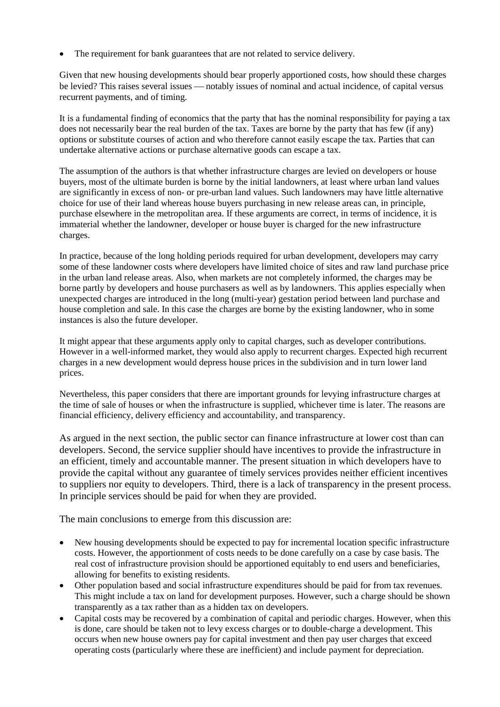The requirement for bank guarantees that are not related to service delivery.

Given that new housing developments should bear properly apportioned costs, how should these charges be levied? This raises several issues — notably issues of nominal and actual incidence, of capital versus recurrent payments, and of timing.

It is a fundamental finding of economics that the party that has the nominal responsibility for paying a tax does not necessarily bear the real burden of the tax. Taxes are borne by the party that has few (if any) options or substitute courses of action and who therefore cannot easily escape the tax. Parties that can undertake alternative actions or purchase alternative goods can escape a tax.

The assumption of the authors is that whether infrastructure charges are levied on developers or house buyers, most of the ultimate burden is borne by the initial landowners, at least where urban land values are significantly in excess of non- or pre-urban land values. Such landowners may have little alternative choice for use of their land whereas house buyers purchasing in new release areas can, in principle, purchase elsewhere in the metropolitan area. If these arguments are correct, in terms of incidence, it is immaterial whether the landowner, developer or house buyer is charged for the new infrastructure charges.

In practice, because of the long holding periods required for urban development, developers may carry some of these landowner costs where developers have limited choice of sites and raw land purchase price in the urban land release areas. Also, when markets are not completely informed, the charges may be borne partly by developers and house purchasers as well as by landowners. This applies especially when unexpected charges are introduced in the long (multi-year) gestation period between land purchase and house completion and sale. In this case the charges are borne by the existing landowner, who in some instances is also the future developer.

It might appear that these arguments apply only to capital charges, such as developer contributions. However in a well-informed market, they would also apply to recurrent charges. Expected high recurrent charges in a new development would depress house prices in the subdivision and in turn lower land prices.

Nevertheless, this paper considers that there are important grounds for levying infrastructure charges at the time of sale of houses or when the infrastructure is supplied, whichever time is later. The reasons are financial efficiency, delivery efficiency and accountability, and transparency.

As argued in the next section, the public sector can finance infrastructure at lower cost than can developers. Second, the service supplier should have incentives to provide the infrastructure in an efficient, timely and accountable manner. The present situation in which developers have to provide the capital without any guarantee of timely services provides neither efficient incentives to suppliers nor equity to developers. Third, there is a lack of transparency in the present process. In principle services should be paid for when they are provided.

The main conclusions to emerge from this discussion are:

- New housing developments should be expected to pay for incremental location specific infrastructure costs. However, the apportionment of costs needs to be done carefully on a case by case basis. The real cost of infrastructure provision should be apportioned equitably to end users and beneficiaries, allowing for benefits to existing residents.
- Other population based and social infrastructure expenditures should be paid for from tax revenues. This might include a tax on land for development purposes. However, such a charge should be shown transparently as a tax rather than as a hidden tax on developers.
- Capital costs may be recovered by a combination of capital and periodic charges. However, when this is done, care should be taken not to levy excess charges or to double-charge a development. This occurs when new house owners pay for capital investment and then pay user charges that exceed operating costs (particularly where these are inefficient) and include payment for depreciation.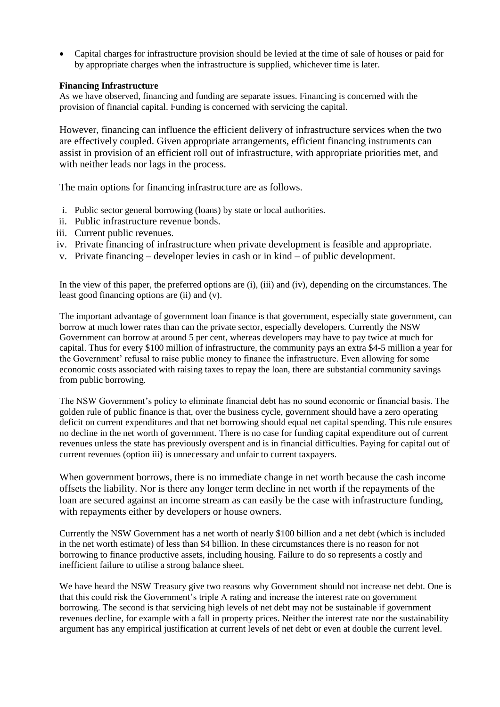• Capital charges for infrastructure provision should be levied at the time of sale of houses or paid for by appropriate charges when the infrastructure is supplied, whichever time is later.

## **Financing Infrastructure**

As we have observed, financing and funding are separate issues. Financing is concerned with the provision of financial capital. Funding is concerned with servicing the capital.

However, financing can influence the efficient delivery of infrastructure services when the two are effectively coupled. Given appropriate arrangements, efficient financing instruments can assist in provision of an efficient roll out of infrastructure, with appropriate priorities met, and with neither leads nor lags in the process.

The main options for financing infrastructure are as follows.

- i. Public sector general borrowing (loans) by state or local authorities.
- ii. Public infrastructure revenue bonds.
- iii. Current public revenues.
- iv. Private financing of infrastructure when private development is feasible and appropriate.
- v. Private financing developer levies in cash or in kind of public development.

In the view of this paper, the preferred options are (i), (iii) and (iv), depending on the circumstances. The least good financing options are (ii) and (v).

The important advantage of government loan finance is that government, especially state government, can borrow at much lower rates than can the private sector, especially developers. Currently the NSW Government can borrow at around 5 per cent, whereas developers may have to pay twice at much for capital. Thus for every \$100 million of infrastructure, the community pays an extra \$4-5 million a year for the Government' refusal to raise public money to finance the infrastructure. Even allowing for some economic costs associated with raising taxes to repay the loan, there are substantial community savings from public borrowing.

The NSW Government's policy to eliminate financial debt has no sound economic or financial basis. The golden rule of public finance is that, over the business cycle, government should have a zero operating deficit on current expenditures and that net borrowing should equal net capital spending. This rule ensures no decline in the net worth of government. There is no case for funding capital expenditure out of current revenues unless the state has previously overspent and is in financial difficulties. Paying for capital out of current revenues (option iii) is unnecessary and unfair to current taxpayers.

When government borrows, there is no immediate change in net worth because the cash income offsets the liability. Nor is there any longer term decline in net worth if the repayments of the loan are secured against an income stream as can easily be the case with infrastructure funding, with repayments either by developers or house owners.

Currently the NSW Government has a net worth of nearly \$100 billion and a net debt (which is included in the net worth estimate) of less than \$4 billion. In these circumstances there is no reason for not borrowing to finance productive assets, including housing. Failure to do so represents a costly and inefficient failure to utilise a strong balance sheet.

We have heard the NSW Treasury give two reasons why Government should not increase net debt. One is that this could risk the Government's triple A rating and increase the interest rate on government borrowing. The second is that servicing high levels of net debt may not be sustainable if government revenues decline, for example with a fall in property prices. Neither the interest rate nor the sustainability argument has any empirical justification at current levels of net debt or even at double the current level.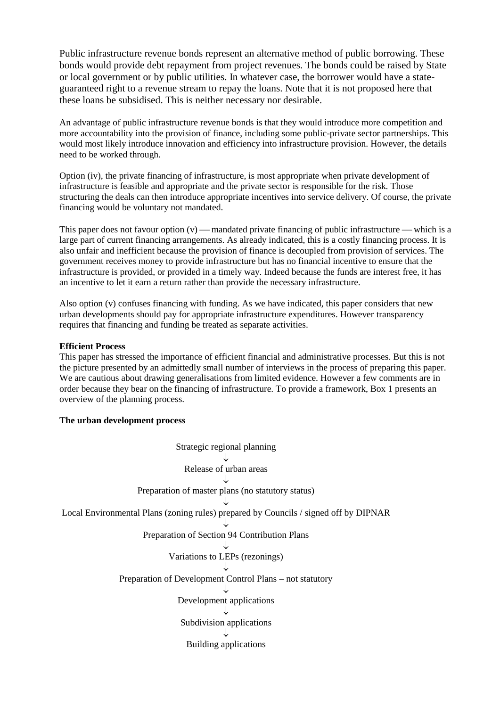Public infrastructure revenue bonds represent an alternative method of public borrowing. These bonds would provide debt repayment from project revenues. The bonds could be raised by State or local government or by public utilities. In whatever case, the borrower would have a stateguaranteed right to a revenue stream to repay the loans. Note that it is not proposed here that these loans be subsidised. This is neither necessary nor desirable.

An advantage of public infrastructure revenue bonds is that they would introduce more competition and more accountability into the provision of finance, including some public-private sector partnerships. This would most likely introduce innovation and efficiency into infrastructure provision. However, the details need to be worked through.

Option (iv), the private financing of infrastructure, is most appropriate when private development of infrastructure is feasible and appropriate and the private sector is responsible for the risk. Those structuring the deals can then introduce appropriate incentives into service delivery. Of course, the private financing would be voluntary not mandated.

This paper does not favour option  $(v)$  — mandated private financing of public infrastructure — which is a large part of current financing arrangements. As already indicated, this is a costly financing process. It is also unfair and inefficient because the provision of finance is decoupled from provision of services. The government receives money to provide infrastructure but has no financial incentive to ensure that the infrastructure is provided, or provided in a timely way. Indeed because the funds are interest free, it has an incentive to let it earn a return rather than provide the necessary infrastructure.

Also option (v) confuses financing with funding. As we have indicated, this paper considers that new urban developments should pay for appropriate infrastructure expenditures. However transparency requires that financing and funding be treated as separate activities.

## **Efficient Process**

This paper has stressed the importance of efficient financial and administrative processes. But this is not the picture presented by an admittedly small number of interviews in the process of preparing this paper. We are cautious about drawing generalisations from limited evidence. However a few comments are in order because they bear on the financing of infrastructure. To provide a framework, Box 1 presents an overview of the planning process.

#### **The urban development process**

Strategic regional planning  $\downarrow$ Release of urban areas ↓ Preparation of master plans (no statutory status)  $\downarrow$ Local Environmental Plans (zoning rules) prepared by Councils / signed off by DIPNAR  $\downarrow$ Preparation of Section 94 Contribution Plans ↓ Variations to LEPs (rezonings)  $\downarrow$ Preparation of Development Control Plans – not statutory  $\downarrow$ Development applications ↓ Subdivision applications  $\cdot$ I. Building applications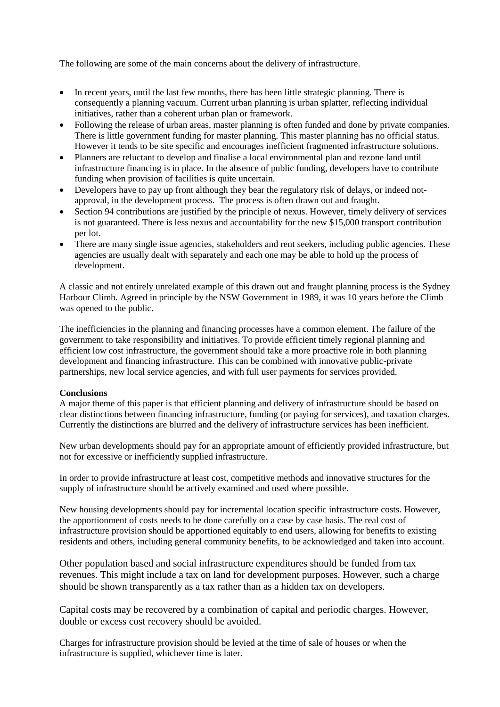The following are some of the main concerns about the delivery of infrastructure.

- In recent years, until the last few months, there has been little strategic planning. There is consequently a planning vacuum. Current urban planning is urban splatter, reflecting individual initiatives, rather than a coherent urban plan or framework.
- Following the release of urban areas, master planning is often funded and done by private companies. There is little government funding for master planning. This master planning has no official status. However it tends to be site specific and encourages inefficient fragmented infrastructure solutions.
- Planners are reluctant to develop and finalise a local environmental plan and rezone land until infrastructure financing is in place. In the absence of public funding, developers have to contribute funding when provision of facilities is quite uncertain.
- Developers have to pay up front although they bear the regulatory risk of delays, or indeed notapproval, in the development process. The process is often drawn out and fraught.
- Section 94 contributions are justified by the principle of nexus. However, timely delivery of services is not guaranteed. There is less nexus and accountability for the new \$15,000 transport contribution per lot.
- There are many single issue agencies, stakeholders and rent seekers, including public agencies. These agencies are usually dealt with separately and each one may be able to hold up the process of development.

A classic and not entirely unrelated example of this drawn out and fraught planning process is the Sydney Harbour Climb. Agreed in principle by the NSW Government in 1989, it was 10 years before the Climb was opened to the public.

The inefficiencies in the planning and financing processes have a common element. The failure of the government to take responsibility and initiatives. To provide efficient timely regional planning and efficient low cost infrastructure, the government should take a more proactive role in both planning development and financing infrastructure. This can be combined with innovative public-private partnerships, new local service agencies, and with full user payments for services provided.

#### **Conclusions**

A major theme of this paper is that efficient planning and delivery of infrastructure should be based on clear distinctions between financing infrastructure, funding (or paying for services), and taxation charges. Currently the distinctions are blurred and the delivery of infrastructure services has been inefficient.

New urban developments should pay for an appropriate amount of efficiently provided infrastructure, but not for excessive or inefficiently supplied infrastructure.

In order to provide infrastructure at least cost, competitive methods and innovative structures for the supply of infrastructure should be actively examined and used where possible.

New housing developments should pay for incremental location specific infrastructure costs. However, the apportionment of costs needs to be done carefully on a case by case basis. The real cost of infrastructure provision should be apportioned equitably to end users, allowing for benefits to existing residents and others, including general community benefits, to be acknowledged and taken into account.

Other population based and social infrastructure expenditures should be funded from tax revenues. This might include a tax on land for development purposes. However, such a charge should be shown transparently as a tax rather than as a hidden tax on developers.

Capital costs may be recovered by a combination of capital and periodic charges. However, double or excess cost recovery should be avoided.

Charges for infrastructure provision should be levied at the time of sale of houses or when the infrastructure is supplied, whichever time is later.